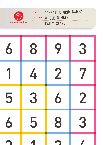

| SERIES: | OPERATION GRID GAMES     |  |
|---------|--------------------------|--|
|         | COLLECTION: WHOIF NUMBER |  |
| LEVEL:  | FARLY STAGE 1            |  |

. ..

 $\ddotsc$ 

 $\ddotsc$ 

| 6 | 8 | 9                       | 3           |
|---|---|-------------------------|-------------|
|   | 4 | $\overline{\mathbf{2}}$ | 7           |
| 5 | 3 | 6                       | $\mathbf 2$ |
| 6 | 5 | 8                       | 3           |
|   |   |                         |             |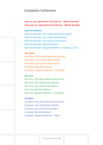## **Complete Collection**

## **How to use:** *Operation Grid Games - Whole Number* **Overview to:** *Operation Grid Games - Whole Number*

### **Spot the Number**

Spot the Number: *Fill a Game Board* Instructions Spot the Number: *Four Small Game Boards* Spot the Number: *Line of Four* Instructions Spot the Number: *Big Game Board* Spot the Number: *Support Material – Counting 1 to 10*

#### **One More**

One More: *Fill a Game Board* Instructions One More: *Four Small Game Boards* One More: *Line of Four* Instructions One More: *Big Game Board* One More: *Support Material – Caterpillar*

### **One Less**

One Less: *Fill a Game Board* Instructions One Less: *Four Small Game Boards* One Less: *Line of Four* Instructions One Less: *Big Game Board* One Less: *Support Material – Caterpillar*

### **Compare**

Compare: *Fill a Game Board* Instructions Compare: *Four Small Game Boards* Compare: *Line of Four* Instructions Compare: *Big Game Board* Compare: *Support Material – Trains*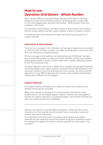# **How to use:**  *Operation Grid Games - Whole Number*

There are two different *Inquisitive Minds Operation Grid Games* collections, designed to assist primary school students in developing their number skills in a fun and engaging way. *Operation Grid Games - Whole Number* is the first collection in this series.

The activities in this collection will help students to learn how to read numbers, find the number before and after a given number as well as compare numbers.

To achieve this goal, the collection includes instructions, game boards and support material.

### **Instructions & Game Boards**

There are four concepts in this collection and two game objectives are provided to reinforce each of these concepts. The eight resulting games each come with their own instructions and game boards.

The four concepts in this collection are ordered by level of difficulty. Teachers may provide differentiation as they present the activities, having some students playing games based on easier concepts while other students play games based on the more advanced ones.

The game objective *Line of Four* is slightly more complex than the game objective *Fill a Game Board*, which allows teachers to provide further differentiation in the classroom. Students may all be practising the same concept, but some could be exposed to a more difficult objective that involves more complex mathematical thinking and a different set of strategies.

### **Support Material**

The support material provided in this collection ensures that students of all abilities find the games accessible.

When each concept is introduced, it is recommended that teachers show students how to use the related support material. Teachers are encouraged to provide the support material to use alongside games until students feel they can work out answers without this scaffolding.

Teachers may choose to use *Operation Grid Games - Whole Number* in their classrooms, or they may like to send materials home to provide a varied and creative approach to homework.

The explanations and instructions accompanying the games and support materials are very explicit to ensure that parents using these materials at home are equipped to support and reinforce the learning that has taken place in the classroom.